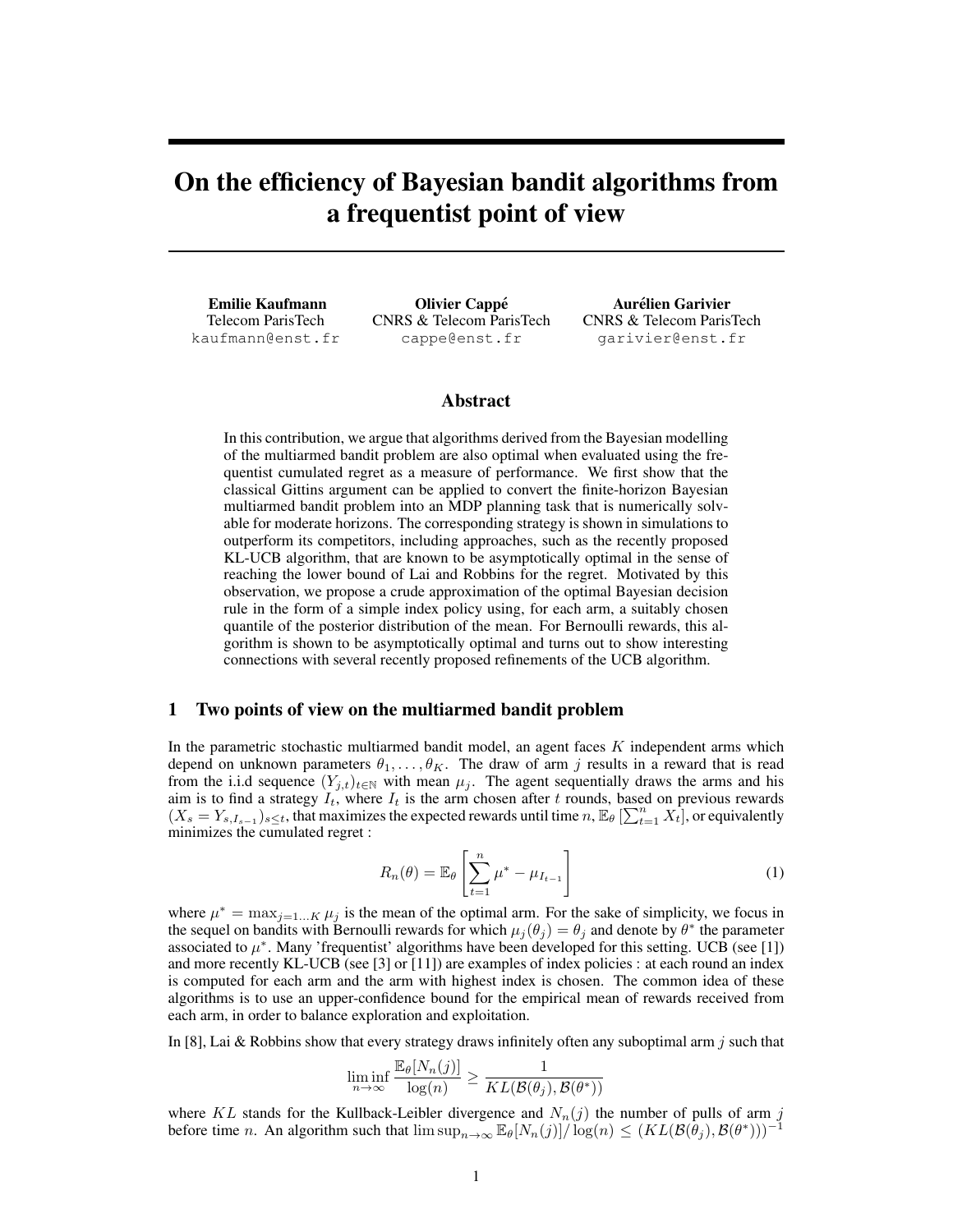# On the efficiency of Bayesian bandit algorithms from a frequentist point of view

Emilie Kaufmann Telecom ParisTech kaufmann@enst.fr

Olivier Cappe´ CNRS & Telecom ParisTech cappe@enst.fr

Aurelien Garivier ´ CNRS & Telecom ParisTech garivier@enst.fr

### Abstract

In this contribution, we argue that algorithms derived from the Bayesian modelling of the multiarmed bandit problem are also optimal when evaluated using the frequentist cumulated regret as a measure of performance. We first show that the classical Gittins argument can be applied to convert the finite-horizon Bayesian multiarmed bandit problem into an MDP planning task that is numerically solvable for moderate horizons. The corresponding strategy is shown in simulations to outperform its competitors, including approaches, such as the recently proposed KL-UCB algorithm, that are known to be asymptotically optimal in the sense of reaching the lower bound of Lai and Robbins for the regret. Motivated by this observation, we propose a crude approximation of the optimal Bayesian decision rule in the form of a simple index policy using, for each arm, a suitably chosen quantile of the posterior distribution of the mean. For Bernoulli rewards, this algorithm is shown to be asymptotically optimal and turns out to show interesting connections with several recently proposed refinements of the UCB algorithm.

#### 1 Two points of view on the multiarmed bandit problem

In the parametric stochastic multiarmed bandit model, an agent faces  $K$  independent arms which depend on unknown parameters  $\theta_1, \ldots, \theta_K$ . The draw of arm j results in a reward that is read from the i.i.d sequence  $(Y_{j,t})_{t\in\mathbb{N}}$  with mean  $\mu_j$ . The agent sequentially draws the arms and his aim is to find a strategy  $I_t$ , where  $I_t$  is the arm chosen after t rounds, based on previous rewards  $(X_s = Y_{s,I_{s-1}})_{s \leq t}$ , that maximizes the expected rewards until time  $n, \mathbb{E}_{\theta} \left[\sum_{t=1}^n X_t\right]$ , or equivalently minimizes the cumulated regret :

$$
R_n(\theta) = \mathbb{E}_{\theta} \left[ \sum_{t=1}^n \mu^* - \mu_{I_{t-1}} \right]
$$
 (1)

where  $\mu^* = \max_{j=1...K} \mu_j$  is the mean of the optimal arm. For the sake of simplicity, we focus in the sequel on bandits with Bernoulli rewards for which  $\mu_j(\theta_j) = \theta_j$  and denote by  $\theta^*$  the parameter associated to  $\mu^*$ . Many 'frequentist' algorithms have been developed for this setting. UCB (see [1]) and more recently KL-UCB (see [3] or [11]) are examples of index policies : at each round an index is computed for each arm and the arm with highest index is chosen. The common idea of these algorithms is to use an upper-confidence bound for the empirical mean of rewards received from each arm, in order to balance exploration and exploitation.

In [8], Lai & Robbins show that every strategy draws infinitely often any suboptimal arm j such that

$$
\liminf_{n \to \infty} \frac{\mathbb{E}_{\theta}[N_n(j)]}{\log(n)} \ge \frac{1}{KL(\mathcal{B}(\theta_j), \mathcal{B}(\theta^*))}
$$

where KL stands for the Kullback-Leibler divergence and  $N_n(j)$  the number of pulls of arm j before time *n*. An algorithm such that  $\limsup_{n\to\infty} \mathbb{E}_{\theta}[N_n(j)] / \log(n) \leq (KL(\mathcal{B}(\theta_j), \mathcal{B}(\theta^*)) )^{-1}$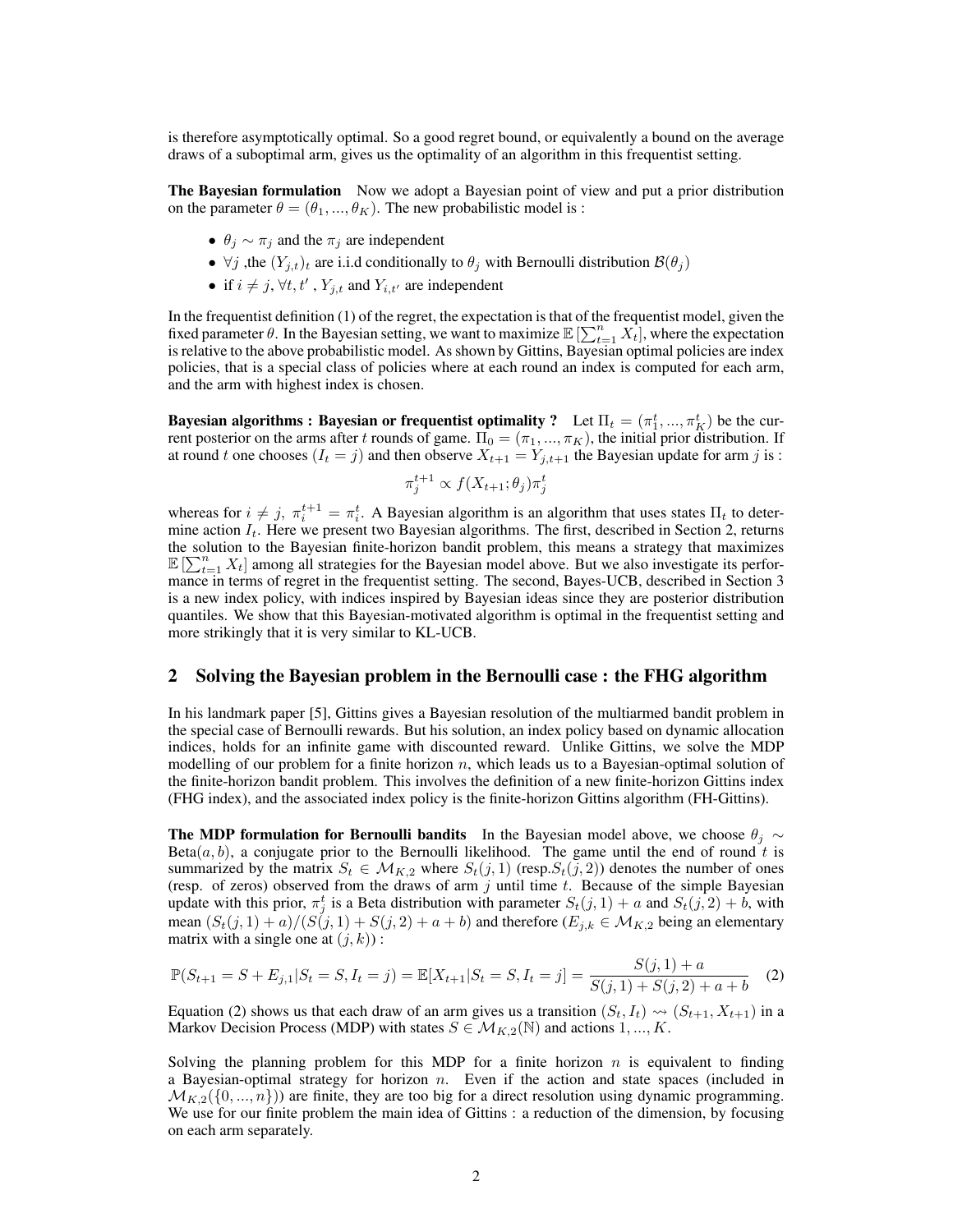is therefore asymptotically optimal. So a good regret bound, or equivalently a bound on the average draws of a suboptimal arm, gives us the optimality of an algorithm in this frequentist setting.

The Bayesian formulation Now we adopt a Bayesian point of view and put a prior distribution on the parameter  $\theta = (\theta_1, ..., \theta_K)$ . The new probabilistic model is :

- $\theta_i \sim \pi_i$  and the  $\pi_i$  are independent
- $\forall j$ , the  $(Y_{i,t})_t$  are i.i.d conditionally to  $\theta_j$  with Bernoulli distribution  $\mathcal{B}(\theta_j)$
- if  $i \neq j$ ,  $\forall t, t'$ ,  $Y_{j,t}$  and  $Y_{i,t'}$  are independent

In the frequentist definition (1) of the regret, the expectation is that of the frequentist model, given the fixed parameter  $\theta$ . In the Bayesian setting, we want to maximize  $\mathbb{E} \left[ \sum_{t=1}^{n} X_t \right]$ , where the expectation is relative to the above probabilistic model. As shown by Gittins, Bayesian optimal policies are index policies, that is a special class of policies where at each round an index is computed for each arm, and the arm with highest index is chosen.

Bayesian algorithms : Bayesian or frequentist optimality ? Let  $\Pi_t = (\pi_1^t, ..., \pi_K^t)$  be the current posterior on the arms after t rounds of game.  $\Pi_0 = (\pi_1, ..., \pi_K)$ , the initial prior distribution. If at round t one chooses  $(I_t = j)$  and then observe  $X_{t+1} = Y_{j,t+1}$  the Bayesian update for arm j is :

$$
\pi_j^{t+1} \propto f(X_{t+1}; \theta_j) \pi_j^t
$$

whereas for  $i \neq j$ ,  $\pi_i^{t+1} = \pi_i^t$ . A Bayesian algorithm is an algorithm that uses states  $\Pi_t$  to determine action  $I_t$ . Here we present two Bayesian algorithms. The first, described in Section 2, returns the solution to the Bayesian finite-horizon bandit problem, this means a strategy that maximizes  $\mathbb{E} \left[\sum_{t=1}^n X_t\right]$  among all strategies for the Bayesian model above. But we also investigate its performance in terms of regret in the frequentist setting. The second, Bayes-UCB, described in Section 3 is a new index policy, with indices inspired by Bayesian ideas since they are posterior distribution quantiles. We show that this Bayesian-motivated algorithm is optimal in the frequentist setting and more strikingly that it is very similar to KL-UCB.

### 2 Solving the Bayesian problem in the Bernoulli case : the FHG algorithm

In his landmark paper [5], Gittins gives a Bayesian resolution of the multiarmed bandit problem in the special case of Bernoulli rewards. But his solution, an index policy based on dynamic allocation indices, holds for an infinite game with discounted reward. Unlike Gittins, we solve the MDP modelling of our problem for a finite horizon  $n$ , which leads us to a Bayesian-optimal solution of the finite-horizon bandit problem. This involves the definition of a new finite-horizon Gittins index (FHG index), and the associated index policy is the finite-horizon Gittins algorithm (FH-Gittins).

The MDP formulation for Bernoulli bandits In the Bayesian model above, we choose  $\theta_j \sim$ Beta $(a, b)$ , a conjugate prior to the Bernoulli likelihood. The game until the end of round t is summarized by the matrix  $S_t \in M_{K,2}$  where  $S_t(j,1)$  (resp. $S_t(j,2)$ ) denotes the number of ones (resp. of zeros) observed from the draws of arm  $j$  until time  $t$ . Because of the simple Bayesian update with this prior,  $\pi_j^t$  is a Beta distribution with parameter  $S_t(j, 1) + a$  and  $S_t(j, 2) + b$ , with mean  $(S_t(j, 1) + a)/(S(j, 1) + S(j, 2) + a + b)$  and therefore  $(E_{j,k} \in M_{K,2}$  being an elementary matrix with a single one at  $(j, k)$ :

$$
\mathbb{P}(S_{t+1} = S + E_{j,1} | S_t = S, I_t = j) = \mathbb{E}[X_{t+1} | S_t = S, I_t = j] = \frac{S(j,1) + a}{S(j,1) + S(j,2) + a + b}
$$
(2)

Equation (2) shows us that each draw of an arm gives us a transition  $(S_t, I_t) \rightsquigarrow (S_{t+1}, X_{t+1})$  in a Markov Decision Process (MDP) with states  $S \in \mathcal{M}_{K,2}(\mathbb{N})$  and actions  $1, ..., K$ .

Solving the planning problem for this MDP for a finite horizon  $n$  is equivalent to finding a Bayesian-optimal strategy for horizon  $n$ . Even if the action and state spaces (included in  $\mathcal{M}_{K,2}(\{0,\ldots,n\})$  are finite, they are too big for a direct resolution using dynamic programming. We use for our finite problem the main idea of Gittins : a reduction of the dimension, by focusing on each arm separately.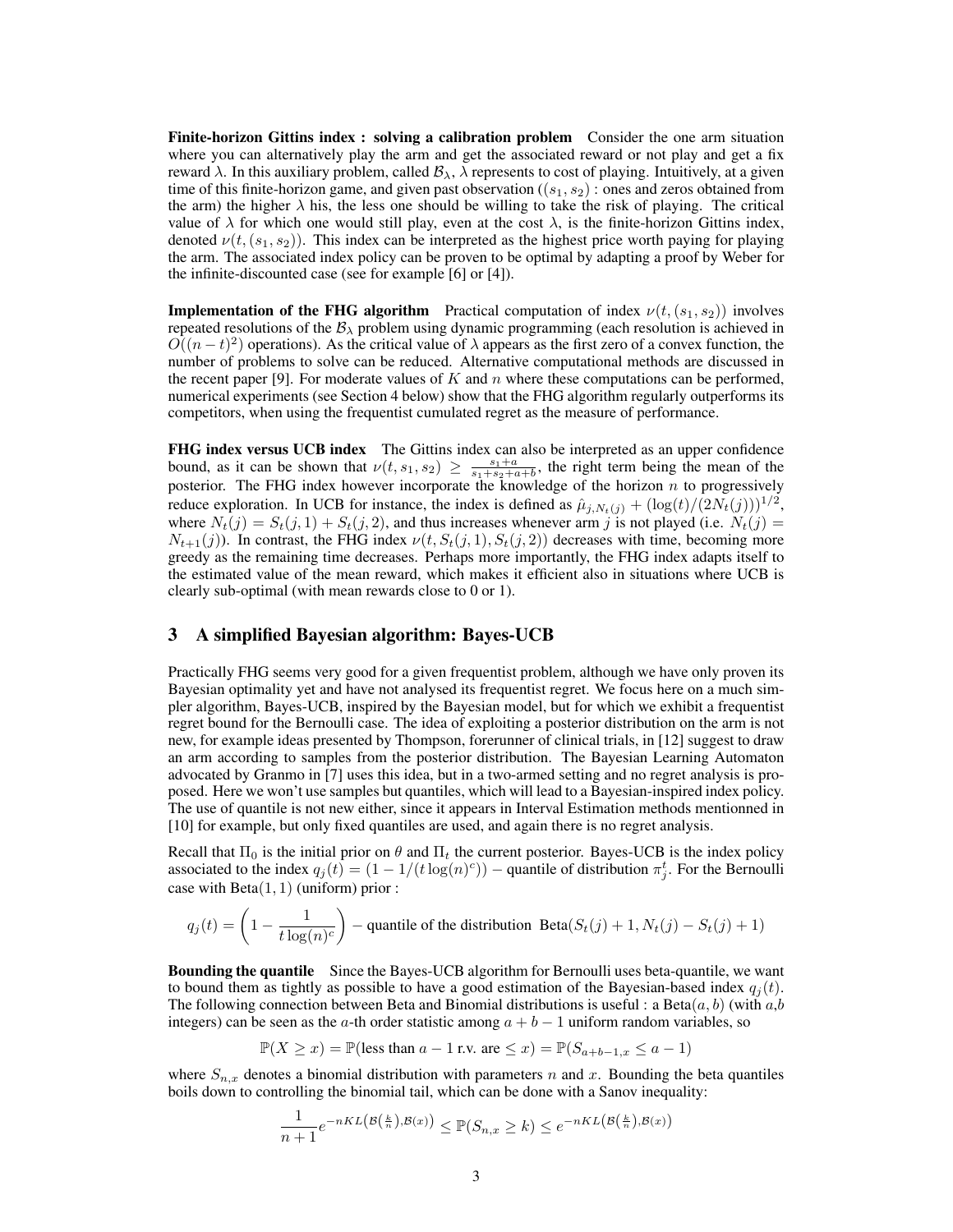Finite-horizon Gittins index : solving a calibration problem Consider the one arm situation where you can alternatively play the arm and get the associated reward or not play and get a fix reward λ. In this auxiliary problem, called  $\mathcal{B}_{\lambda}$ , λ represents to cost of playing. Intuitively, at a given time of this finite-horizon game, and given past observation ( $(s_1, s_2)$ ) : ones and zeros obtained from the arm) the higher  $\lambda$  his, the less one should be willing to take the risk of playing. The critical value of  $\lambda$  for which one would still play, even at the cost  $\lambda$ , is the finite-horizon Gittins index, denoted  $\nu(t,(s_1,s_2))$ . This index can be interpreted as the highest price worth paying for playing the arm. The associated index policy can be proven to be optimal by adapting a proof by Weber for the infinite-discounted case (see for example [6] or [4]).

**Implementation of the FHG algorithm** Practical computation of index  $\nu(t,(s_1,s_2))$  involves repeated resolutions of the  $B_\lambda$  problem using dynamic programming (each resolution is achieved in  $O((n-t)^2)$  operations). As the critical value of  $\lambda$  appears as the first zero of a convex function, the number of problems to solve can be reduced. Alternative computational methods are discussed in the recent paper [9]. For moderate values of  $K$  and  $n$  where these computations can be performed, numerical experiments (see Section 4 below) show that the FHG algorithm regularly outperforms its competitors, when using the frequentist cumulated regret as the measure of performance.

FHG index versus UCB index The Gittins index can also be interpreted as an upper confidence bound, as it can be shown that  $\nu(t, s_1, s_2) \geq \frac{s_1+a}{s_1+s_2+a+b}$ , the right term being the mean of the posterior. The FHG index however incorporate the knowledge of the horizon  $n$  to progressively reduce exploration. In UCB for instance, the index is defined as  $\hat{\mu}_{j,N_t(j)} + (\log(t)/(2N_t(j)))^{1/2}$ , where  $N_t(j) = S_t(j, 1) + S_t(j, 2)$ , and thus increases whenever arm j is not played (i.e.  $N_t(j)$ )  $N_{t+1}(j)$ ). In contrast, the FHG index  $\nu(t, S_t(j, 1), S_t(j, 2))$  decreases with time, becoming more greedy as the remaining time decreases. Perhaps more importantly, the FHG index adapts itself to the estimated value of the mean reward, which makes it efficient also in situations where UCB is clearly sub-optimal (with mean rewards close to 0 or 1).

#### 3 A simplified Bayesian algorithm: Bayes-UCB

Practically FHG seems very good for a given frequentist problem, although we have only proven its Bayesian optimality yet and have not analysed its frequentist regret. We focus here on a much simpler algorithm, Bayes-UCB, inspired by the Bayesian model, but for which we exhibit a frequentist regret bound for the Bernoulli case. The idea of exploiting a posterior distribution on the arm is not new, for example ideas presented by Thompson, forerunner of clinical trials, in [12] suggest to draw an arm according to samples from the posterior distribution. The Bayesian Learning Automaton advocated by Granmo in [7] uses this idea, but in a two-armed setting and no regret analysis is proposed. Here we won't use samples but quantiles, which will lead to a Bayesian-inspired index policy. The use of quantile is not new either, since it appears in Interval Estimation methods mentionned in [10] for example, but only fixed quantiles are used, and again there is no regret analysis.

Recall that  $\Pi_0$  is the initial prior on  $\theta$  and  $\Pi_t$  the current posterior. Bayes-UCB is the index policy associated to the index  $q_j(t) = (1 - 1/(t \log(n)^c))$  – quantile of distribution  $\pi_j^t$ . For the Bernoulli case with  $Beta(1, 1)$  (uniform) prior :

$$
q_j(t) = \left(1 - \frac{1}{t \log(n)^c}\right)
$$
 – quantile of the distribution Beta $(S_t(j) + 1, N_t(j) - S_t(j) + 1)$ 

Bounding the quantile Since the Bayes-UCB algorithm for Bernoulli uses beta-quantile, we want to bound them as tightly as possible to have a good estimation of the Bayesian-based index  $q_i(t)$ . The following connection between Beta and Binomial distributions is useful : a Beta $(a, b)$  (with  $a, b$ ) integers) can be seen as the a-th order statistic among  $a + b - 1$  uniform random variables, so

 $\mathbb{P}(X \geq x) = \mathbb{P}(\text{less than } a - 1 \text{ r.v. are } \leq x) = \mathbb{P}(S_{a+b-1,x} \leq a - 1)$ 

where  $S_{n,x}$  denotes a binomial distribution with parameters n and x. Bounding the beta quantiles boils down to controlling the binomial tail, which can be done with a Sanov inequality:

$$
\frac{1}{n+1}e^{-nKL\left(\mathcal{B}\left(\frac{k}{n}\right),\mathcal{B}(x)\right)} \leq \mathbb{P}(S_{n,x} \geq k) \leq e^{-nKL\left(\mathcal{B}\left(\frac{k}{n}\right),\mathcal{B}(x)\right)}
$$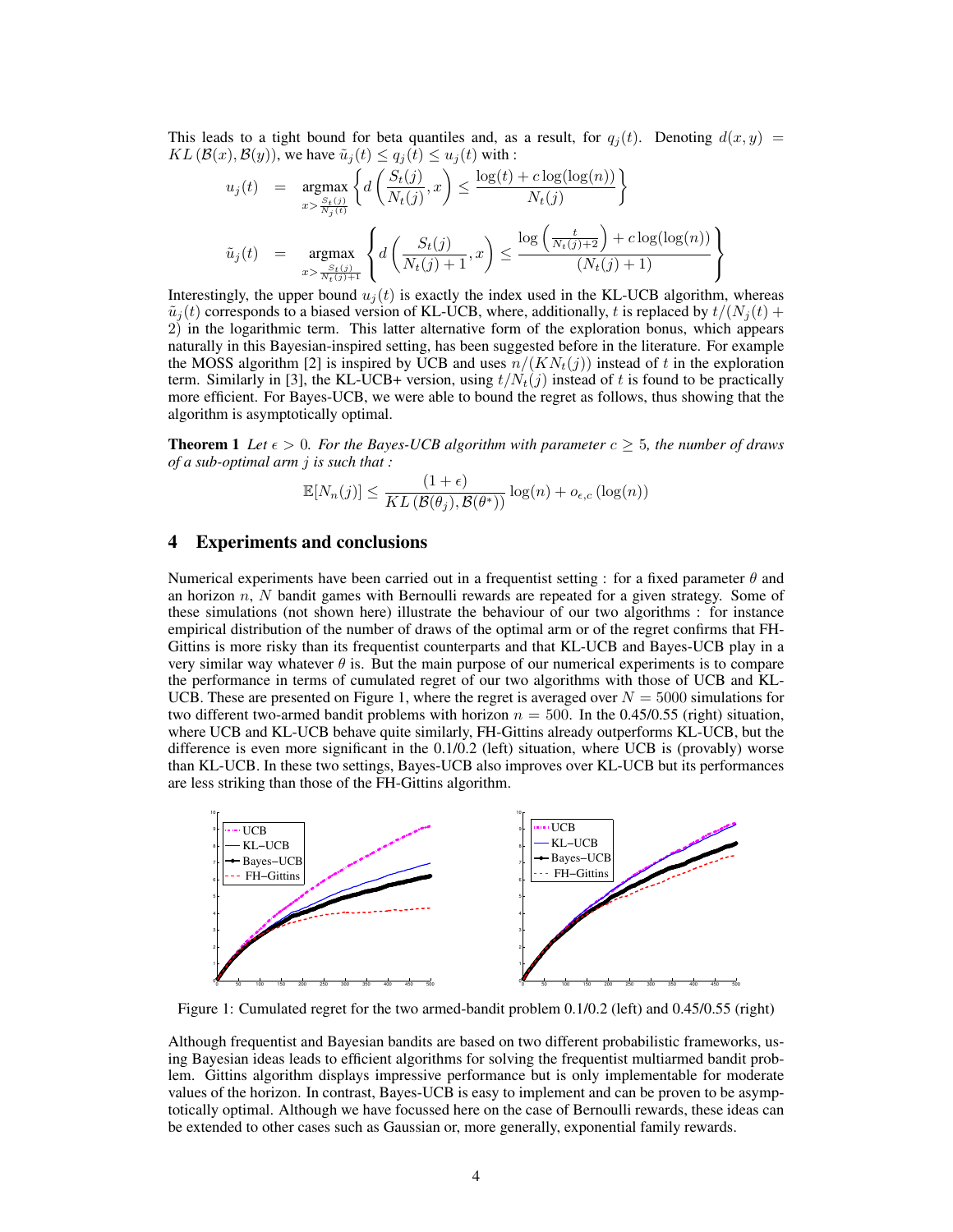This leads to a tight bound for beta quantiles and, as a result, for  $q_i(t)$ . Denoting  $d(x, y)$  =  $KL(\mathcal{B}(x), \mathcal{B}(y))$ , we have  $\tilde{u}_j(t) \le q_j(t) \le u_j(t)$  with :

$$
u_j(t) = \underset{x > \frac{S_t(j)}{N_j(t)}}{\operatorname{argmax}} \left\{ d\left(\frac{S_t(j)}{N_t(j)}, x\right) \le \frac{\log(t) + c \log(\log(n))}{N_t(j)} \right\}
$$
  

$$
\tilde{u}_j(t) = \underset{x > \frac{S_t(j)}{N_t(j)+1}}{\operatorname{argmax}} \left\{ d\left(\frac{S_t(j)}{N_t(j)+1}, x\right) \le \frac{\log\left(\frac{t}{N_t(j)+2}\right) + c \log(\log(n))}{(N_t(j)+1)} \right\}
$$

Interestingly, the upper bound  $u_i(t)$  is exactly the index used in the KL-UCB algorithm, whereas  $\tilde{u}_j(t)$  corresponds to a biased version of KL-UCB, where, additionally, t is replaced by  $t/(N_i(t) +$ 2) in the logarithmic term. This latter alternative form of the exploration bonus, which appears naturally in this Bayesian-inspired setting, has been suggested before in the literature. For example the MOSS algorithm [2] is inspired by UCB and uses  $n/(KN_t(j))$  instead of t in the exploration term. Similarly in [3], the KL-UCB+ version, using  $t/N_t(j)$  instead of t is found to be practically more efficient. For Bayes-UCB, we were able to bound the regret as follows, thus showing that the algorithm is asymptotically optimal.

**Theorem 1** Let  $\epsilon > 0$ . For the Bayes-UCB algorithm with parameter  $c \geq 5$ , the number of draws *of a sub-optimal arm* j *is such that :*

$$
\mathbb{E}[N_n(j)] \le \frac{(1+\epsilon)}{KL(\mathcal{B}(\theta_j), \mathcal{B}(\theta^*))} \log(n) + o_{\epsilon,c}(\log(n))
$$

#### 4 Experiments and conclusions

Numerical experiments have been carried out in a frequentist setting : for a fixed parameter  $\theta$  and an horizon  $n$ ,  $N$  bandit games with Bernoulli rewards are repeated for a given strategy. Some of these simulations (not shown here) illustrate the behaviour of our two algorithms : for instance empirical distribution of the number of draws of the optimal arm or of the regret confirms that FH-Gittins is more risky than its frequentist counterparts and that KL-UCB and Bayes-UCB play in a very similar way whatever  $\theta$  is. But the main purpose of our numerical experiments is to compare the performance in terms of cumulated regret of our two algorithms with those of UCB and KL-UCB. These are presented on Figure 1, where the regret is averaged over  $N = 5000$  simulations for two different two-armed bandit problems with horizon  $n = 500$ . In the 0.45/0.55 (right) situation, where UCB and KL-UCB behave quite similarly, FH-Gittins already outperforms KL-UCB, but the difference is even more significant in the 0.1/0.2 (left) situation, where UCB is (provably) worse than KL-UCB. In these two settings, Bayes-UCB also improves over KL-UCB but its performances are less striking than those of the FH-Gittins algorithm.



Figure 1: Cumulated regret for the two armed-bandit problem 0.1/0.2 (left) and 0.45/0.55 (right)

Although frequentist and Bayesian bandits are based on two different probabilistic frameworks, using Bayesian ideas leads to efficient algorithms for solving the frequentist multiarmed bandit problem. Gittins algorithm displays impressive performance but is only implementable for moderate values of the horizon. In contrast, Bayes-UCB is easy to implement and can be proven to be asymptotically optimal. Although we have focussed here on the case of Bernoulli rewards, these ideas can be extended to other cases such as Gaussian or, more generally, exponential family rewards.